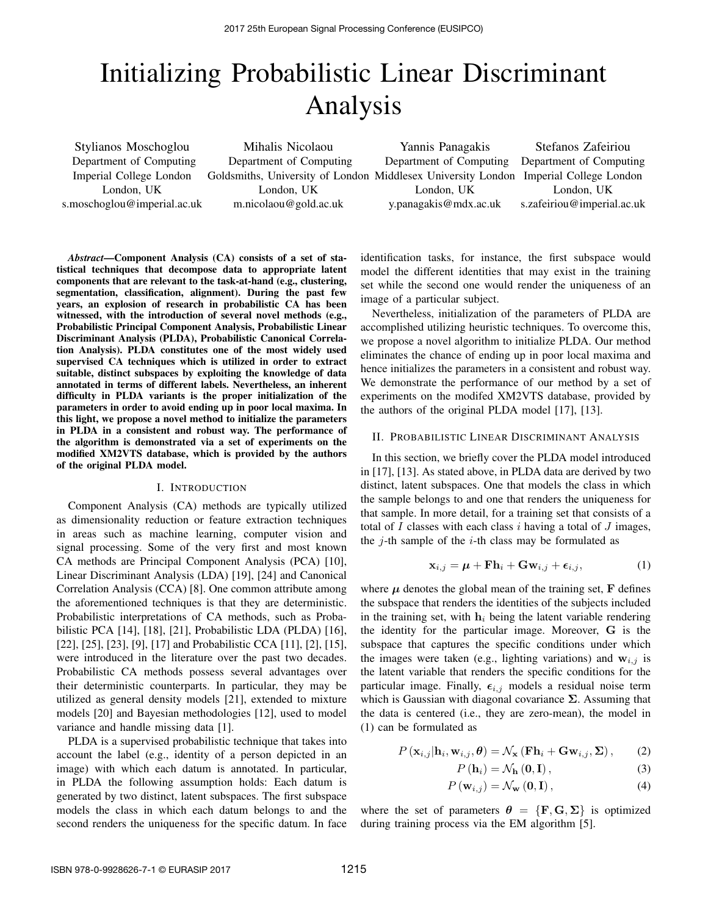# Initializing Probabilistic Linear Discriminant Analysis

Stylianos Moschoglou Department of Computing Imperial College London London, UK s.moschoglou@imperial.ac.uk

Mihalis Nicolaou Department of Computing Goldsmiths, University of London Middlesex University London Imperial College London London, UK m.nicolaou@gold.ac.uk

Yannis Panagakis Department of Computing London, UK y.panagakis@mdx.ac.uk

Stefanos Zafeiriou Department of Computing London, UK s.zafeiriou@imperial.ac.uk

*Abstract*—Component Analysis (CA) consists of a set of statistical techniques that decompose data to appropriate latent components that are relevant to the task-at-hand (e.g., clustering, segmentation, classification, alignment). During the past few years, an explosion of research in probabilistic CA has been witnessed, with the introduction of several novel methods (e.g., Probabilistic Principal Component Analysis, Probabilistic Linear Discriminant Analysis (PLDA), Probabilistic Canonical Correlation Analysis). PLDA constitutes one of the most widely used supervised CA techniques which is utilized in order to extract suitable, distinct subspaces by exploiting the knowledge of data annotated in terms of different labels. Nevertheless, an inherent difficulty in PLDA variants is the proper initialization of the parameters in order to avoid ending up in poor local maxima. In this light, we propose a novel method to initialize the parameters in PLDA in a consistent and robust way. The performance of the algorithm is demonstrated via a set of experiments on the modified XM2VTS database, which is provided by the authors of the original PLDA model.

#### I. INTRODUCTION

Component Analysis (CA) methods are typically utilized as dimensionality reduction or feature extraction techniques in areas such as machine learning, computer vision and signal processing. Some of the very first and most known CA methods are Principal Component Analysis (PCA) [10], Linear Discriminant Analysis (LDA) [19], [24] and Canonical Correlation Analysis (CCA) [8]. One common attribute among the aforementioned techniques is that they are deterministic. Probabilistic interpretations of CA methods, such as Probabilistic PCA [14], [18], [21], Probabilistic LDA (PLDA) [16], [22], [25], [23], [9], [17] and Probabilistic CCA [11], [2], [15], were introduced in the literature over the past two decades. Probabilistic CA methods possess several advantages over their deterministic counterparts. In particular, they may be utilized as general density models [21], extended to mixture models [20] and Bayesian methodologies [12], used to model variance and handle missing data [1].

PLDA is a supervised probabilistic technique that takes into account the label (e.g., identity of a person depicted in an image) with which each datum is annotated. In particular, in PLDA the following assumption holds: Each datum is generated by two distinct, latent subspaces. The first subspace models the class in which each datum belongs to and the second renders the uniqueness for the specific datum. In face identification tasks, for instance, the first subspace would model the different identities that may exist in the training set while the second one would render the uniqueness of an image of a particular subject.

Nevertheless, initialization of the parameters of PLDA are accomplished utilizing heuristic techniques. To overcome this, we propose a novel algorithm to initialize PLDA. Our method eliminates the chance of ending up in poor local maxima and hence initializes the parameters in a consistent and robust way. We demonstrate the performance of our method by a set of experiments on the modifed XM2VTS database, provided by the authors of the original PLDA model [17], [13].

#### II. PROBABILISTIC LINEAR DISCRIMINANT ANALYSIS

In this section, we briefly cover the PLDA model introduced in [17], [13]. As stated above, in PLDA data are derived by two distinct, latent subspaces. One that models the class in which the sample belongs to and one that renders the uniqueness for that sample. In more detail, for a training set that consists of a total of  $I$  classes with each class  $i$  having a total of  $J$  images, the  $j$ -th sample of the  $i$ -th class may be formulated as

$$
\mathbf{x}_{i,j} = \boldsymbol{\mu} + \mathbf{F}\mathbf{h}_i + \mathbf{G}\mathbf{w}_{i,j} + \boldsymbol{\epsilon}_{i,j},\tag{1}
$$

where  $\mu$  denotes the global mean of the training set,  $\bf{F}$  defines the subspace that renders the identities of the subjects included in the training set, with  $h_i$  being the latent variable rendering the identity for the particular image. Moreover, G is the subspace that captures the specific conditions under which the images were taken (e.g., lighting variations) and  $w_{i,j}$  is the latent variable that renders the specific conditions for the particular image. Finally,  $\epsilon_{i,j}$  models a residual noise term which is Gaussian with diagonal covariance  $\Sigma$ . Assuming that the data is centered (i.e., they are zero-mean), the model in (1) can be formulated as

$$
P(\mathbf{x}_{i,j}|\mathbf{h}_{i}, \mathbf{w}_{i,j}, \boldsymbol{\theta}) = \mathcal{N}_{\mathbf{x}} (\mathbf{F}\mathbf{h}_{i} + \mathbf{G}\mathbf{w}_{i,j}, \boldsymbol{\Sigma}), \qquad (2)
$$

$$
P\left(\mathbf{h}_{i}\right) = \mathcal{N}_{\mathbf{h}}\left(\mathbf{0}, \mathbf{I}\right),\tag{3}
$$

$$
P(\mathbf{w}_{i,j}) = \mathcal{N}_{\mathbf{w}}\left(\mathbf{0}, \mathbf{I}\right),\tag{4}
$$

where the set of parameters  $\theta = {\mathbf{F}, \mathbf{G}, \Sigma}$  is optimized during training process via the EM algorithm [5].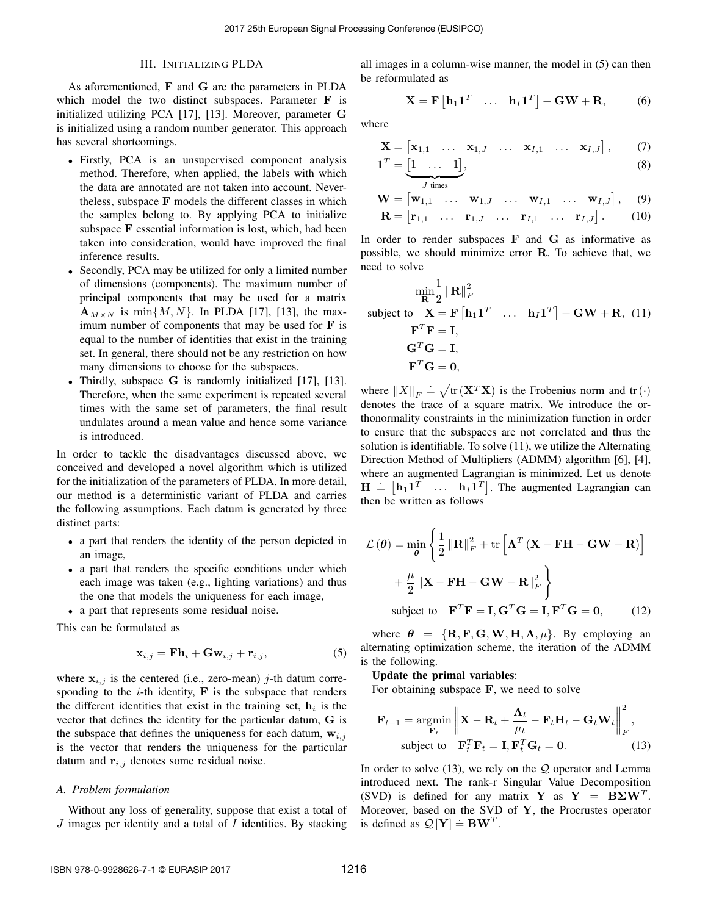### III. INITIALIZING PLDA

As aforementioned, F and G are the parameters in PLDA which model the two distinct subspaces. Parameter F is initialized utilizing PCA [17], [13]. Moreover, parameter G is initialized using a random number generator. This approach has several shortcomings.

- Firstly, PCA is an unsupervised component analysis method. Therefore, when applied, the labels with which the data are annotated are not taken into account. Nevertheless, subspace F models the different classes in which the samples belong to. By applying PCA to initialize subspace F essential information is lost, which, had been taken into consideration, would have improved the final inference results.
- Secondly, PCA may be utilized for only a limited number of dimensions (components). The maximum number of principal components that may be used for a matrix  $\mathbf{A}_{M\times N}$  is min $\{M, N\}$ . In PLDA [17], [13], the maximum number of components that may be used for  $\bf{F}$  is equal to the number of identities that exist in the training set. In general, there should not be any restriction on how many dimensions to choose for the subspaces.
- Thirdly, subspace G is randomly initialized [17], [13]. Therefore, when the same experiment is repeated several times with the same set of parameters, the final result undulates around a mean value and hence some variance is introduced.

In order to tackle the disadvantages discussed above, we conceived and developed a novel algorithm which is utilized for the initialization of the parameters of PLDA. In more detail, our method is a deterministic variant of PLDA and carries the following assumptions. Each datum is generated by three distinct parts:

- a part that renders the identity of the person depicted in an image,
- a part that renders the specific conditions under which each image was taken (e.g., lighting variations) and thus the one that models the uniqueness for each image,
- a part that represents some residual noise.

This can be formulated as

$$
\mathbf{x}_{i,j} = \mathbf{F}\mathbf{h}_i + \mathbf{G}\mathbf{w}_{i,j} + \mathbf{r}_{i,j},\tag{5}
$$

where  $x_{i,j}$  is the centered (i.e., zero-mean) j-th datum corresponding to the  $i$ -th identity,  $\bf{F}$  is the subspace that renders the different identities that exist in the training set,  $h_i$  is the vector that defines the identity for the particular datum, G is the subspace that defines the uniqueness for each datum,  $w_{i,j}$ is the vector that renders the uniqueness for the particular datum and  $\mathbf{r}_{i,j}$  denotes some residual noise.

## *A. Problem formulation*

Without any loss of generality, suppose that exist a total of  $J$  images per identity and a total of  $I$  identities. By stacking

all images in a column-wise manner, the model in (5) can then be reformulated as

$$
\mathbf{X} = \mathbf{F} \begin{bmatrix} \mathbf{h}_1 \mathbf{1}^T & \dots & \mathbf{h}_I \mathbf{1}^T \end{bmatrix} + \mathbf{G} \mathbf{W} + \mathbf{R}, \tag{6}
$$

where

$$
\mathbf{X} = \begin{bmatrix} \mathbf{x}_{1,1} & \dots & \mathbf{x}_{1,J} & \dots & \mathbf{x}_{I,1} & \dots & \mathbf{x}_{I,J} \end{bmatrix}, \qquad (7)
$$

$$
\mathbf{1}^T = \underbrace{[1 \quad \dots \quad 1]}_{J \text{ times}},\tag{8}
$$

$$
\mathbf{W} = [\mathbf{w}_{1,1} \ \dots \ \mathbf{w}_{1,J} \ \dots \ \mathbf{w}_{I,1} \ \dots \ \mathbf{w}_{I,J}], \quad (9) \n\mathbf{R} = [\mathbf{r}_{1,1} \ \dots \ \mathbf{r}_{1,J} \ \dots \ \mathbf{r}_{I,1} \ \dots \ \mathbf{r}_{I,J}]. \quad (10)
$$

In order to render subspaces  $\bf{F}$  and  $\bf{G}$  as informative as possible, we should minimize error R. To achieve that, we need to solve

$$
\min_{\mathbf{R}} \frac{1}{2} \|\mathbf{R}\|_{F}^{2}
$$
  
subject to  $\mathbf{X} = \mathbf{F} [\mathbf{h}_{1} \mathbf{1}^{T} \dots \mathbf{h}_{I} \mathbf{1}^{T}] + \mathbf{G} \mathbf{W} + \mathbf{R}, (11)$   
 $\mathbf{F}^{T} \mathbf{F} = \mathbf{I},$   
 $\mathbf{G}^{T} \mathbf{G} = \mathbf{I},$   
 $\mathbf{F}^{T} \mathbf{G} = \mathbf{0},$ 

where  $||X||_F \doteq \sqrt{\text{tr}(\mathbf{X}^T \mathbf{X})}$  is the Frobenius norm and  $\text{tr}(\cdot)$ denotes the trace of a square matrix. We introduce the orthonormality constraints in the minimization function in order to ensure that the subspaces are not correlated and thus the solution is identifiable. To solve (11), we utilize the Alternating Direction Method of Multipliers (ADMM) algorithm [6], [4], where an augmented Lagrangian is minimized. Let us denote  $H = [h_1 1^T \dots h_I 1^T]$ . The augmented Lagrangian can then be written as follows

$$
\mathcal{L}(\theta) = \min_{\theta} \left\{ \frac{1}{2} \left\| \mathbf{R} \right\|_{F}^{2} + \text{tr} \left[ \mathbf{\Lambda}^{T} \left( \mathbf{X} - \mathbf{F} \mathbf{H} - \mathbf{G} \mathbf{W} - \mathbf{R} \right) \right] + \frac{\mu}{2} \left\| \mathbf{X} - \mathbf{F} \mathbf{H} - \mathbf{G} \mathbf{W} - \mathbf{R} \right\|_{F}^{2} \right\}
$$
\nsubject to  $\mathbf{F}^{T} \mathbf{F} = \mathbf{I}, \mathbf{G}^{T} \mathbf{G} = \mathbf{I}, \mathbf{F}^{T} \mathbf{G} = \mathbf{0},$  (12)

where  $\theta = {\mathbf{R}, \mathbf{F}, \mathbf{G}, \mathbf{W}, \mathbf{H}, \mathbf{\Lambda}, \mu}$ . By employing an alternating optimization scheme, the iteration of the ADMM is the following.

Update the primal variables:

For obtaining subspace  $\mathbf{F}$ , we need to solve

$$
\mathbf{F}_{t+1} = \underset{\mathbf{F}_t}{\text{argmin}} \left\| \mathbf{X} - \mathbf{R}_t + \frac{\mathbf{\Lambda}_t}{\mu_t} - \mathbf{F}_t \mathbf{H}_t - \mathbf{G}_t \mathbf{W}_t \right\|_F^2,
$$
  
subject to 
$$
\mathbf{F}_t^T \mathbf{F}_t = \mathbf{I}, \mathbf{F}_t^T \mathbf{G}_t = \mathbf{0}.
$$
 (13)

In order to solve  $(13)$ , we rely on the Q operator and Lemma introduced next. The rank-r Singular Value Decomposition (SVD) is defined for any matrix Y as  $Y = B\Sigma W^{T}$ . Moreover, based on the SVD of  $Y$ , the Procrustes operator is defined as  $Q[Y] = BW^T$ .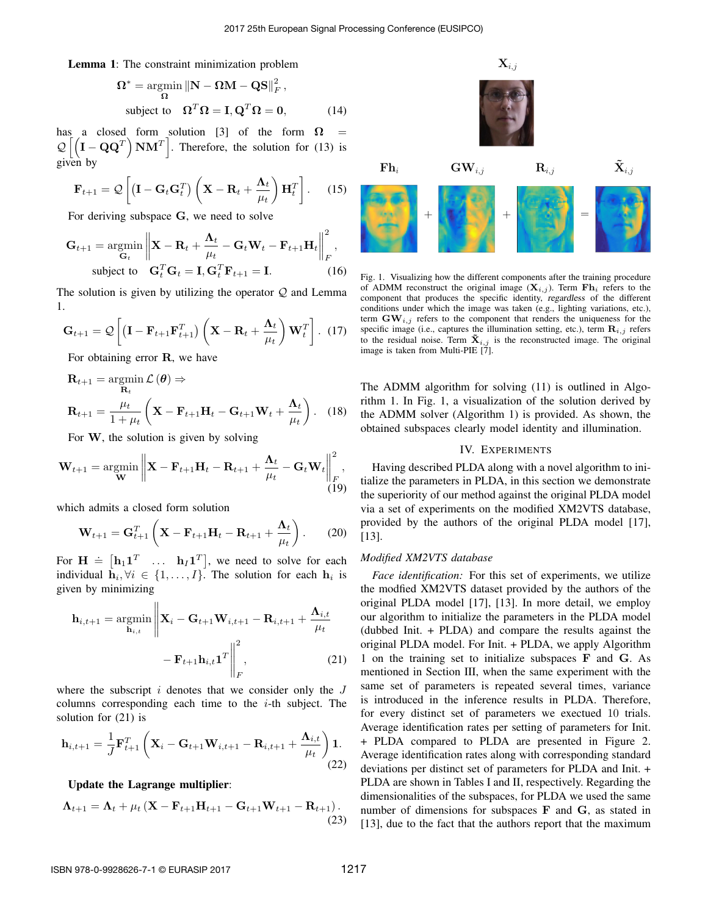Lemma 1: The constraint minimization problem

$$
\Omega^* = \underset{\Omega}{\text{argmin}} \|\mathbf{N} - \Omega \mathbf{M} - \mathbf{Q}\mathbf{S}\|_F^2,
$$
  
subject to 
$$
\Omega^T \Omega = \mathbf{I}, \mathbf{Q}^T \Omega = \mathbf{0}, \quad (14)
$$

has a closed form solution [3] of the form  $\Omega$  =  $\mathcal{Q} \left[ \left( \mathbf{I} - \mathbf{Q} \mathbf{Q}^T \right) \mathbf{N} \mathbf{M}^T \right]$  $\left| \right|$ . Therefore, the solution for (13) is given by

$$
\mathbf{F}_{t+1} = Q\left[ (\mathbf{I} - \mathbf{G}_t \mathbf{G}_t^T) \left( \mathbf{X} - \mathbf{R}_t + \frac{\mathbf{\Lambda}_t}{\mu_t} \right) \mathbf{H}_t^T \right].
$$
 (15)

For deriving subspace G, we need to solve

$$
\mathbf{G}_{t+1} = \underset{\mathbf{G}_t}{\text{argmin}} \left\| \mathbf{X} - \mathbf{R}_t + \frac{\mathbf{\Lambda}_t}{\mu_t} - \mathbf{G}_t \mathbf{W}_t - \mathbf{F}_{t+1} \mathbf{H}_t \right\|_F^2,
$$
  
subject to 
$$
\mathbf{G}_t^T \mathbf{G}_t = \mathbf{I}, \mathbf{G}_t^T \mathbf{F}_{t+1} = \mathbf{I}.
$$
 (16)

The solution is given by utilizing the operator  $Q$  and Lemma 1.

$$
\mathbf{G}_{t+1} = \mathcal{Q}\left[ (\mathbf{I} - \mathbf{F}_{t+1} \mathbf{F}_{t+1}^T) \left( \mathbf{X} - \mathbf{R}_t + \frac{\mathbf{\Lambda}_t}{\mu_t} \right) \mathbf{W}_t^T \right].
$$
 (17)

For obtaining error R, we have

$$
\mathbf{R}_{t+1} = \underset{\mathbf{R}_{t+1}}{\operatorname{argmin}} \mathcal{L}(\boldsymbol{\theta}) \Rightarrow
$$
\n
$$
\mathbf{R}_{t+1} = \frac{\mu_{t}}{1 + \mu_{t}} \left( \mathbf{X} - \mathbf{F}_{t+1} \mathbf{H}_{t} - \mathbf{G}_{t+1} \mathbf{W}_{t} + \frac{\mathbf{\Lambda}_{t}}{\mu_{t}} \right). \quad (18)
$$

For W, the solution is given by solving

$$
\mathbf{W}_{t+1} = \operatorname*{argmin}_{\mathbf{W}} \left\| \mathbf{X} - \mathbf{F}_{t+1} \mathbf{H}_t - \mathbf{R}_{t+1} + \frac{\mathbf{\Lambda}_t}{\mu_t} - \mathbf{G}_t \mathbf{W}_t \right\|_F^2, \tag{19}
$$

which admits a closed form solution

 $\overline{11}$ 

$$
\mathbf{W}_{t+1} = \mathbf{G}_{t+1}^T \left( \mathbf{X} - \mathbf{F}_{t+1} \mathbf{H}_t - \mathbf{R}_{t+1} + \frac{\mathbf{\Lambda}_t}{\mu_t} \right). \tag{20}
$$

For  $\mathbf{H} = [\mathbf{h}_1 \mathbf{1}^T \dots \mathbf{h}_I \mathbf{1}^T]$ , we need to solve for each individual  $\mathbf{h}_i, \forall i \in \{1, ..., I\}$ . The solution for each  $\mathbf{h}_i$  is given by minimizing

$$
\mathbf{h}_{i,t+1} = \underset{\mathbf{h}_{i,t}}{\operatorname{argmin}} \left\| \mathbf{X}_i - \mathbf{G}_{t+1} \mathbf{W}_{i,t+1} - \mathbf{R}_{i,t+1} + \frac{\mathbf{\Lambda}_{i,t}}{\mu_t} \right\|_{F}^{2},
$$
\n
$$
- \mathbf{F}_{t+1} \mathbf{h}_{i,t} \mathbf{1}^T \Big|_{F}^{2}, \tag{21}
$$

where the subscript  $i$  denotes that we consider only the  $J$ columns corresponding each time to the  $i$ -th subject. The solution for (21) is

$$
\mathbf{h}_{i,t+1} = \frac{1}{J} \mathbf{F}_{t+1}^T \left( \mathbf{X}_i - \mathbf{G}_{t+1} \mathbf{W}_{i,t+1} - \mathbf{R}_{i,t+1} + \frac{\mathbf{\Lambda}_{i,t}}{\mu_t} \right) \mathbf{1}.
$$
\n(22)

Update the Lagrange multiplier:

$$
\Lambda_{t+1} = \Lambda_t + \mu_t \left( \mathbf{X} - \mathbf{F}_{t+1} \mathbf{H}_{t+1} - \mathbf{G}_{t+1} \mathbf{W}_{t+1} - \mathbf{R}_{t+1} \right). \tag{23}
$$



Fig. 1. Visualizing how the different components after the training procedure of ADMM reconstruct the original image  $(X_{i,j})$ . Term  $\mathbf{F}\mathbf{h}_i$  refers to the component that produces the specific identity, regardless of the different conditions under which the image was taken (e.g., lighting variations, etc.), term  $\text{GW}_{i,j}$  refers to the component that renders the uniqueness for the specific image (i.e., captures the illumination setting, etc.), term  $\mathbf{R}_{i,j}$  refers to the residual noise. Term  $\mathbf{\tilde{X}}_{i,j}$  is the reconstructed image. The original image is taken from Multi-PIE [7].

The ADMM algorithm for solving (11) is outlined in Algorithm 1. In Fig. 1, a visualization of the solution derived by the ADMM solver (Algorithm 1) is provided. As shown, the obtained subspaces clearly model identity and illumination.

## IV. EXPERIMENTS

Having described PLDA along with a novel algorithm to initialize the parameters in PLDA, in this section we demonstrate the superiority of our method against the original PLDA model via a set of experiments on the modified XM2VTS database, provided by the authors of the original PLDA model [17], [13].

## *Modified XM2VTS database*

*Face identification:* For this set of experiments, we utilize the modfied XM2VTS dataset provided by the authors of the original PLDA model [17], [13]. In more detail, we employ our algorithm to initialize the parameters in the PLDA model (dubbed Init. + PLDA) and compare the results against the original PLDA model. For Init. + PLDA, we apply Algorithm 1 on the training set to initialize subspaces F and G. As mentioned in Section III, when the same experiment with the same set of parameters is repeated several times, variance is introduced in the inference results in PLDA. Therefore, for every distinct set of parameters we exectued 10 trials. Average identification rates per setting of parameters for Init. + PLDA compared to PLDA are presented in Figure 2. Average identification rates along with corresponding standard deviations per distinct set of parameters for PLDA and Init. + PLDA are shown in Tables I and II, respectively. Regarding the dimensionalities of the subspaces, for PLDA we used the same number of dimensions for subspaces F and G, as stated in [13], due to the fact that the authors report that the maximum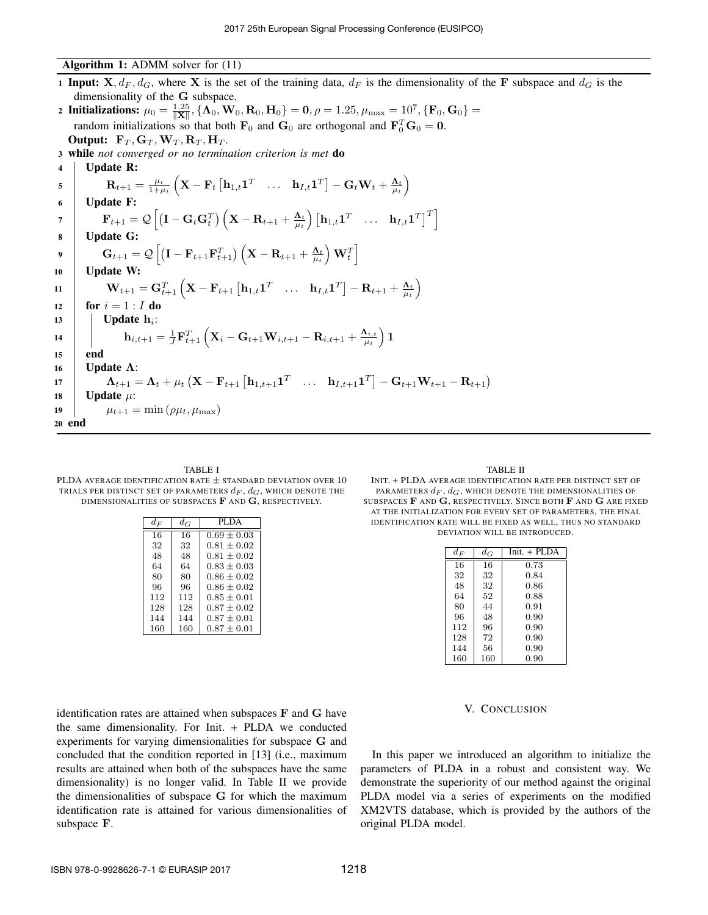## Algorithm 1: ADMM solver for (11)

1 Input:  $X, d_F, d_G$ , where X is the set of the training data,  $d_F$  is the dimensionality of the F subspace and  $d_G$  is the dimensionality of the G subspace.

2 Initializations:  $\mu_0 = \frac{1.25}{\|\mathbf{X}\|}, \{\mathbf{\Lambda}_0, \mathbf{W}_0, \mathbf{R}_0, \mathbf{H}_0\} = \mathbf{0}, \rho = 1.25, \mu_{\max} = 10^7, \{\mathbf{F}_0, \mathbf{G}_0\} =$ random initializations so that both  $\mathbf{F}_0$  and  $\mathbf{G}_0$  are orthogonal and  $\mathbf{F}_0^T\mathbf{G}_0 = \mathbf{0}$ . Output:  $\mathbf{F}_T, \mathbf{G}_T, \mathbf{W}_T, \mathbf{R}_T, \mathbf{H}_T$ .

<sup>3</sup> while *not converged or no termination criterion is met* do

| $\overline{\mathbf{4}}$ | <b>Update R:</b>                                                                                                                                                                                                                                                           |
|-------------------------|----------------------------------------------------------------------------------------------------------------------------------------------------------------------------------------------------------------------------------------------------------------------------|
| $\overline{5}$          | $\mathbf{R}_{t+1} = \frac{\mu_t}{1+\mu_t}\left(\mathbf{X}-\mathbf{F}_t\begin{bmatrix} \mathbf{h}_{1,t}\mathbf{1}^T & \dots & \mathbf{h}_{I,t}\mathbf{1}^T \end{bmatrix} - \mathbf{G}_t\mathbf{W}_t + \frac{\mathbf{\Lambda}_t}{\mu_t}\right)$                              |
| 6                       | <b>Update F:</b>                                                                                                                                                                                                                                                           |
| $\overline{7}$          | $\mathbf{F}_{t+1} = \mathcal{Q} \left  \left( \mathbf{I} - \mathbf{G}_t \mathbf{G}_t^T \right) \left( \mathbf{X} - \mathbf{R}_{t+1} + \frac{\mathbf{\Lambda}_t}{\mu_t} \right) \left[ \mathbf{h}_{1,t} \mathbf{1}^T \dots \mathbf{h}_{I,t} \mathbf{1}^T \right]^T \right $ |
| 8                       | <b>Update G:</b>                                                                                                                                                                                                                                                           |
| $\overline{9}$          | $\mathbf{G}_{t+1} = \mathcal{Q} \left[ \left( \mathbf{I} - \mathbf{F}_{t+1} \mathbf{F}_{t+1}^T \right) \left( \mathbf{X} - \mathbf{R}_{t+1} + \frac{\mathbf{\Lambda}_t}{\mu_t} \right) \mathbf{W}_t^T \right]$                                                             |
| 10                      | <b>Update W:</b>                                                                                                                                                                                                                                                           |
| 11                      | $\mathbf{W}_{t+1} = \mathbf{G}_{t+1}^T \left( \mathbf{X} - \mathbf{F}_{t+1} \left[ \mathbf{h}_{1,t} \mathbf{1}^T \right] \right. \dots \left. \mathbf{h}_{I,t} \mathbf{1}^T \right] - \mathbf{R}_{t+1} + \frac{\mathbf{\Lambda}_t}{\mu_t} \right)$                         |
| 12                      | for $i = 1 : I$ do                                                                                                                                                                                                                                                         |
| 13                      | <b>Update</b> $h_i$ :                                                                                                                                                                                                                                                      |
| 14                      | $\mathbf{h}_{i,t+1} = \frac{1}{J}\mathbf{F}_{t+1}^T\left(\mathbf{X}_i-\mathbf{G}_{t+1}\mathbf{W}_{i,t+1}-\mathbf{R}_{i,t+1}+\frac{\mathbf{\Lambda}_{i,t}}{\mu_t}\right)\mathbf{1}$                                                                                         |
| 15                      | end                                                                                                                                                                                                                                                                        |
| 16                      | Update $\Lambda$ :                                                                                                                                                                                                                                                         |
| 17                      | $\Lambda_{t+1} = \Lambda_t + \mu_t (X - F_{t+1} \left[ h_{1,t+1} 1^T \dots h_{I,t+1} 1^T \right] - G_{t+1} W_{t+1} - R_{t+1})$                                                                                                                                             |
| 18                      | <b>Update</b> $\mu$ :                                                                                                                                                                                                                                                      |
| 19                      | $\mu_{t+1} = \min(\rho\mu_t, \mu_{\max})$                                                                                                                                                                                                                                  |
| 20 end                  |                                                                                                                                                                                                                                                                            |

TABLE I PLDA AVERAGE IDENTIFICATION RATE  $\pm$  STANDARD DEVIATION OVER  $10$ TRIALS PER DISTINCT SET OF PARAMETERS  $d_F$ ,  $d_G$ , which denote the DIMENSIONALITIES OF SUBSPACES  $\bf{F}$  and  $\bf{G}$ , respectively.

| $d_F$ | $d_G$ | PLDA          |
|-------|-------|---------------|
| 16    | 16    | $0.69 + 0.03$ |
| 32    | 32    | $0.81 + 0.02$ |
| 48    | 48    | $0.81 + 0.02$ |
| 64    | 64    | $0.83 + 0.03$ |
| 80    | 80    | $0.86 + 0.02$ |
| 96    | 96    | $0.86 + 0.02$ |
| 112   | 112   | $0.85 + 0.01$ |
| 128   | 128   | $0.87 + 0.02$ |
| 144   | 144   | $0.87 + 0.01$ |
| 160   | 160   | $0.87\pm0.01$ |

identification rates are attained when subspaces F and G have the same dimensionality. For Init. + PLDA we conducted experiments for varying dimensionalities for subspace G and concluded that the condition reported in [13] (i.e., maximum results are attained when both of the subspaces have the same dimensionality) is no longer valid. In Table II we provide the dimensionalities of subspace G for which the maximum identification rate is attained for various dimensionalities of subspace F.

TABLE II

INIT. + PLDA AVERAGE IDENTIFICATION RATE PER DISTINCT SET OF PARAMETERS  $d_F$ ,  $d_G$ , which denote the dimensionalities of SUBSPACES  $\bf{F}$  and  $\bf{G}$ , respectively. Since both  $\bf{F}$  and  $\bf{G}$  are fixed AT THE INITIALIZATION FOR EVERY SET OF PARAMETERS, THE FINAL IDENTIFICATION RATE WILL BE FIXED AS WELL, THUS NO STANDARD DEVIATION WILL BE INTRODUCED.

| $d_{F}$ | $d_G$ | $Init. + PLDA$ |
|---------|-------|----------------|
| 16      | 16    | 0.73           |
| 32      | 32    | 0.84           |
| 48      | 32    | 0.86           |
| 64      | 52    | 0.88           |
| 80      | 44    | 0.91           |
| 96      | 48    | 0.90           |
| 112     | 96    | 0.90           |
| 128     | 72    | 0.90           |
| 144     | 56    | 0.90           |
| 160     | 160   | 0.90           |

#### V. CONCLUSION

In this paper we introduced an algorithm to initialize the parameters of PLDA in a robust and consistent way. We demonstrate the superiority of our method against the original PLDA model via a series of experiments on the modified XM2VTS database, which is provided by the authors of the original PLDA model.